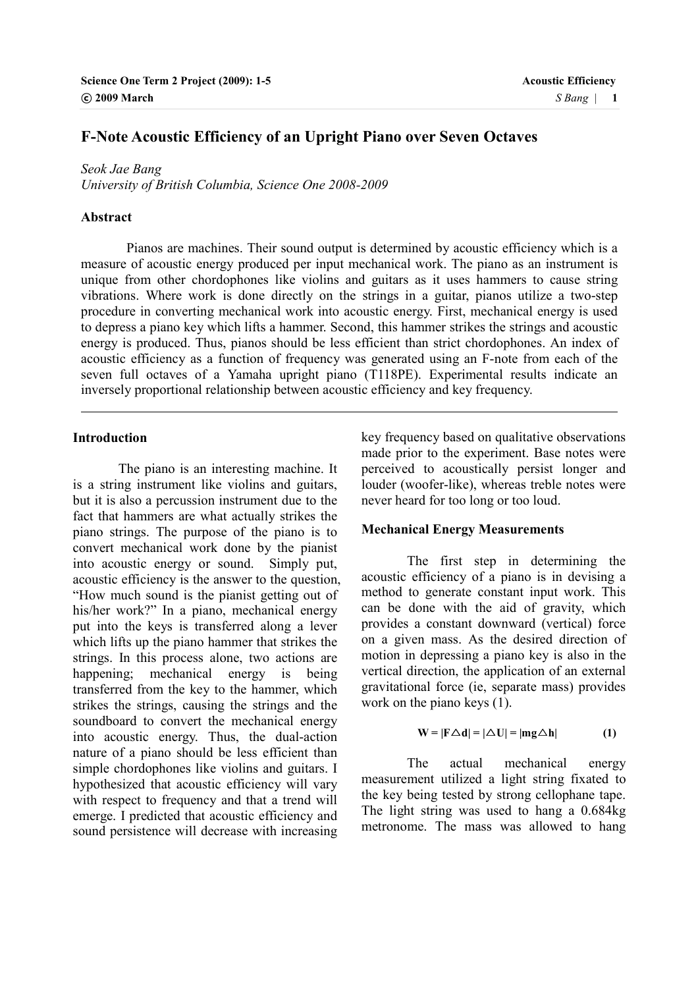# **F-Note Acoustic Efficiency of an Upright Piano over Seven Octaves**

*Seok Jae Bang* 

*University of British Columbia, Science One 2008-2009* 

#### **Abstract**

 Pianos are machines. Their sound output is determined by acoustic efficiency which is a measure of acoustic energy produced per input mechanical work. The piano as an instrument is unique from other chordophones like violins and guitars as it uses hammers to cause string vibrations. Where work is done directly on the strings in a guitar, pianos utilize a two-step procedure in converting mechanical work into acoustic energy. First, mechanical energy is used to depress a piano key which lifts a hammer. Second, this hammer strikes the strings and acoustic energy is produced. Thus, pianos should be less efficient than strict chordophones. An index of acoustic efficiency as a function of frequency was generated using an F-note from each of the seven full octaves of a Yamaha upright piano (T118PE). Experimental results indicate an inversely proportional relationship between acoustic efficiency and key frequency.

### **Introduction**

l

 The piano is an interesting machine. It is a string instrument like violins and guitars, but it is also a percussion instrument due to the fact that hammers are what actually strikes the piano strings. The purpose of the piano is to convert mechanical work done by the pianist into acoustic energy or sound. Simply put, acoustic efficiency is the answer to the question, "How much sound is the pianist getting out of his/her work?" In a piano, mechanical energy put into the keys is transferred along a lever which lifts up the piano hammer that strikes the strings. In this process alone, two actions are happening; mechanical energy is being transferred from the key to the hammer, which strikes the strings, causing the strings and the soundboard to convert the mechanical energy into acoustic energy. Thus, the dual-action nature of a piano should be less efficient than simple chordophones like violins and guitars. I hypothesized that acoustic efficiency will vary with respect to frequency and that a trend will emerge. I predicted that acoustic efficiency and sound persistence will decrease with increasing

key frequency based on qualitative observations made prior to the experiment. Base notes were perceived to acoustically persist longer and louder (woofer-like), whereas treble notes were never heard for too long or too loud.

#### **Mechanical Energy Measurements**

The first step in determining the acoustic efficiency of a piano is in devising a method to generate constant input work. This can be done with the aid of gravity, which provides a constant downward (vertical) force on a given mass. As the desired direction of motion in depressing a piano key is also in the vertical direction, the application of an external gravitational force (ie, separate mass) provides work on the piano keys (1).

$$
W = |F \triangle d| = |\triangle U| = |mg \triangle h|
$$
 (1)

The actual mechanical energy measurement utilized a light string fixated to the key being tested by strong cellophane tape. The light string was used to hang a 0.684kg metronome. The mass was allowed to hang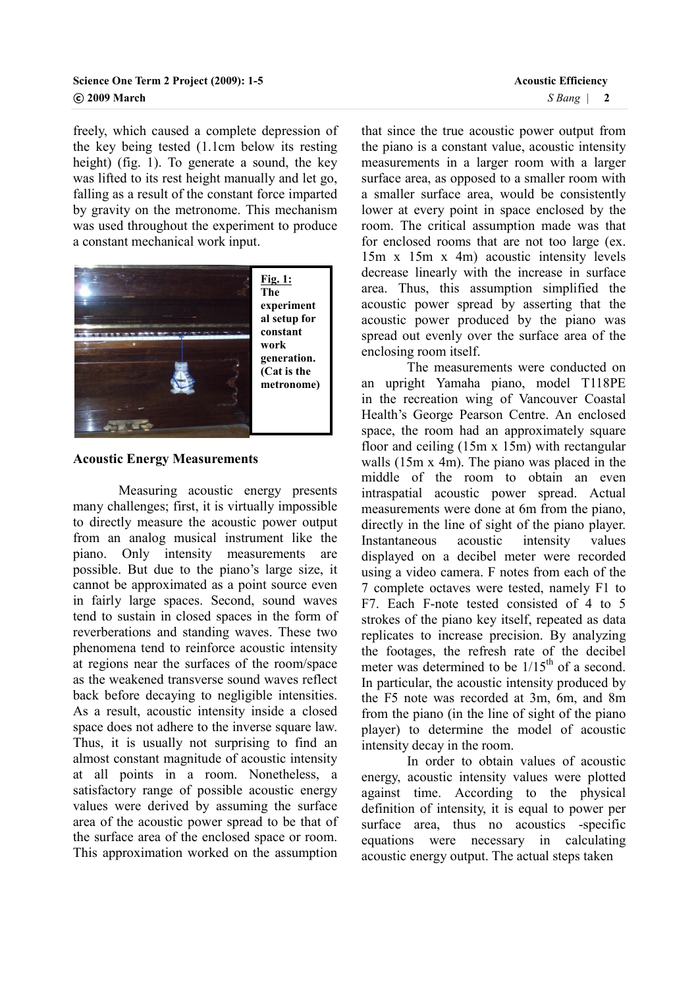freely, which caused a complete depression of the key being tested (1.1cm below its resting height) (fig. 1). To generate a sound, the key was lifted to its rest height manually and let go, falling as a result of the constant force imparted by gravity on the metronome. This mechanism was used throughout the experiment to produce a constant mechanical work input.



#### **Acoustic Energy Measurements**

 Measuring acoustic energy presents many challenges; first, it is virtually impossible to directly measure the acoustic power output from an analog musical instrument like the piano. Only intensity measurements are possible. But due to the piano's large size, it cannot be approximated as a point source even in fairly large spaces. Second, sound waves tend to sustain in closed spaces in the form of reverberations and standing waves. These two phenomena tend to reinforce acoustic intensity at regions near the surfaces of the room/space as the weakened transverse sound waves reflect back before decaying to negligible intensities. As a result, acoustic intensity inside a closed space does not adhere to the inverse square law. Thus, it is usually not surprising to find an almost constant magnitude of acoustic intensity at all points in a room. Nonetheless, a satisfactory range of possible acoustic energy values were derived by assuming the surface area of the acoustic power spread to be that of the surface area of the enclosed space or room. This approximation worked on the assumption

that since the true acoustic power output from the piano is a constant value, acoustic intensity measurements in a larger room with a larger surface area, as opposed to a smaller room with a smaller surface area, would be consistently lower at every point in space enclosed by the room. The critical assumption made was that for enclosed rooms that are not too large (ex. 15m x 15m x 4m) acoustic intensity levels decrease linearly with the increase in surface area. Thus, this assumption simplified the acoustic power spread by asserting that the acoustic power produced by the piano was spread out evenly over the surface area of the enclosing room itself.

The measurements were conducted on an upright Yamaha piano, model T118PE in the recreation wing of Vancouver Coastal Health's George Pearson Centre. An enclosed space, the room had an approximately square floor and ceiling (15m x 15m) with rectangular walls (15m x 4m). The piano was placed in the middle of the room to obtain an even intraspatial acoustic power spread. Actual measurements were done at 6m from the piano, directly in the line of sight of the piano player. Instantaneous acoustic intensity values displayed on a decibel meter were recorded using a video camera. F notes from each of the 7 complete octaves were tested, namely F1 to F7. Each F-note tested consisted of 4 to 5 strokes of the piano key itself, repeated as data replicates to increase precision. By analyzing the footages, the refresh rate of the decibel meter was determined to be  $1/15<sup>th</sup>$  of a second. In particular, the acoustic intensity produced by the F5 note was recorded at 3m, 6m, and 8m from the piano (in the line of sight of the piano player) to determine the model of acoustic intensity decay in the room.

In order to obtain values of acoustic energy, acoustic intensity values were plotted against time. According to the physical definition of intensity, it is equal to power per surface area, thus no acoustics -specific equations were necessary in calculating acoustic energy output. The actual steps taken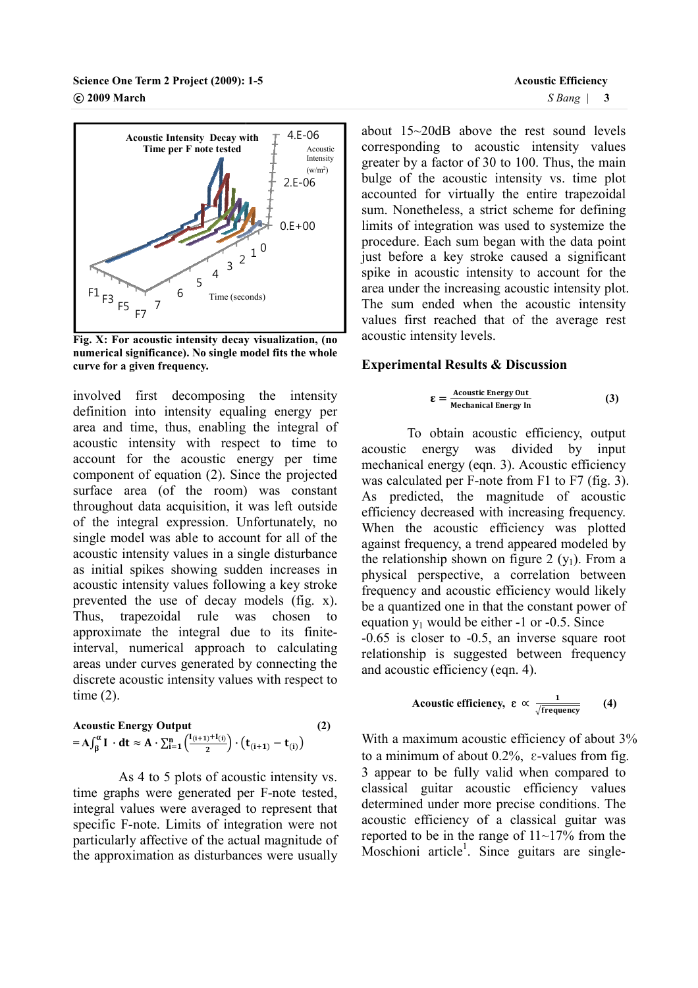

**Fig. X: For acoustic intensity decay visualization, (no numerical significance). No single model fits the whole ). curve for a given frequency.** 

involved first decomposing the intensity definition into intensity equaling energy per area and time, thus, enabling the integral of acoustic intensity with respect to time to account for the acoustic energy per time involved first decomposing the intensity<br>definition into intensity equaling energy per<br>area and time, thus, enabling the integral of<br>account for the accoustic energy per time<br>component of equation (2). Since the projected surface area (of the room) was constant throughout data acquisition, it was left outside of the integral expression. Unfortunately, no single model was able to account for all of the acoustic intensity values in a single disturbance as initial spikes showing sudden increase acoustic intensity values following a key stroke prevented the use of decay models (fig.  $x$ ). Thus, trapezoidal rule was chosen to Thus, trapezoidal rule was chosen to<br>approximate the integral due to its finiteinterval, numerical approach to calculating areas under curves generated by connecting the discrete acoustic intensity values with respect to time (2). the room) was constant<br>uisition, it was left outside<br>ression. Unfortunately, no<br>ble to account for all of the<br>lues in a single disturbance<br>owing sudden increases in

$$
\text{Acoustic Energy Output} \tag{2}
$$
\n
$$
= A \int_{\beta}^{\alpha} I \cdot dt \approx A \cdot \sum_{i=1}^{n} \left( \frac{I_{(i+1)} + I_{(i)}}{2} \right) \cdot \left( t_{(i+1)} - t_{(i)} \right)
$$

As 4 to 5 plots of acoustic intensity vs. time graphs were generated per F F-note tested, integral values were averaged to represent that specific F-note. Limits of integration were not particularly affective of the actual magnitude of the approximation as disturbances were usually

about 15~20dB above the rest sound levels corresponding to acoustic intensity values greater by a factor of 30 to 100. Thus, the main bulge of the acoustic intensity vs. time plot accounted for virtually the entire trapezoidal sum. Nonetheless, a strict scheme for defining limits of integration was used to systemize the procedure. Each sum began with the data point just before a key stroke caused a significant spike in acoustic intensity to account for the procedure. Each sum began with the data point<br>just before a key stroke caused a significant<br>spike in acoustic intensity to account for the<br>area under the increasing acoustic intensity plot. The sum ended when the acoustic intensity values first reached that of the average rest acoustic intensity levels. reater by a factor of 30 to 100. Thus, the main<br>ulge of the acoustic intensity vs. time plot<br>ccounted for virtually the entire trapezoidal<br>um. Nonetheless, a strict scheme for defining<br>mits of integration was used to syste

#### **Experimental Results & Discussion**

$$
\mathbf{\mathcal{E}} = \frac{\text{Acoustic Energy Out}}{\text{Mechanical Energy In}} \tag{3}
$$

To obtain acoustic efficiency, output acoustic energy was divided by by input mechanical energy (eqn. 3). Acoustic efficiency was calculated per  $F$ -note from  $F1$  to  $F7$  (fig. 3). As predicted, the magnitude of acoustic efficiency decreased with increasing frequency. When the acoustic efficiency was plotted against frequency, a trend appeared modeled by the relationship shown on figure 2  $(y_1)$ . From a physical perspective, a correlation between frequency and acoustic efficiency would likely be a quantized one in that the constant power of equation  $y_1$  would be either  $-1$  or  $-0.5$ . Since -0.65 is closer to -0.5, , an inverse square root relationship is suggested between frequency and acoustic efficiency (eqn. 4).

**Acoustic efficiency,** 
$$
\varepsilon \propto \frac{1}{\sqrt{\text{frequency}}}
$$
 (4)

With a maximum acoustic efficiency of about  $3\%$ to a minimum of about  $0.2\%$ ,  $\varepsilon$ -values from fig. 3 appear to be fully valid when compared to classical guitar acoustic efficiency values determined under more precise conditions. The acoustic efficiency of a classical guitar was reported to be in the range of  $11 \sim 17\%$  from the Moschioni article<sup>1</sup>. Since guitars are singlebe fully valid when compared to<br>uitar acoustic efficiency values<br>under more precise conditions. The<br>ficiency of a classical guitar was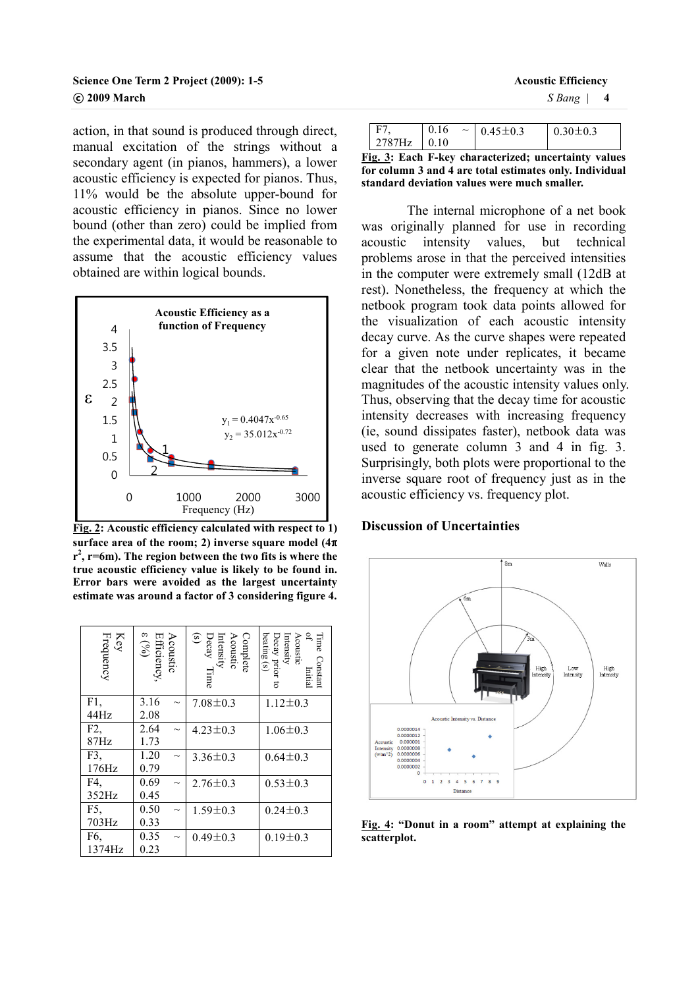### **Science One Term 2 Project (2009): 1-5 Acoustic Efficiency Acoustic Efficiency Acoustic Efficiency** ⓒ **2009 March** *S Bang* | **4**

action, in that sound is produced through direct, manual excitation of the strings without a secondary agent (in pianos, hammers), a lower acoustic efficiency is expected for pianos. Thus, 11% would be the absolute upper-bound for acoustic efficiency in pianos. Since no lower bound (other than zero) could be implied from the experimental data, it would be reasonable to assume that the acoustic efficiency values obtained are within logical bounds.



**Fig. 2: Acoustic efficiency calculated with respect to 1) surface area of the room; 2) inverse square model (4**π **r 2 , r=6m). The region between the two fits is where the true acoustic efficiency value is likely to be found in. Error bars were avoided as the largest uncertainty estimate was around a factor of 3 considering figure 4.** 

| Key<br>Frequency | Efficiency,<br>$\epsilon \left( \text{96}\right)$ | Acoustic | Acoustic<br>Intensity<br>Decay $T$<br>(s)<br>(s)<br>Complete<br>l'ime | Intensity<br>Decay prior<br>beating (s)<br>Acoustic<br>₽<br>Time<br>Constant<br>Initial |
|------------------|---------------------------------------------------|----------|-----------------------------------------------------------------------|-----------------------------------------------------------------------------------------|
| F1,              | 3.16                                              |          | $7.08 \pm 0.3$                                                        | $1.12 \pm 0.3$                                                                          |
| 44Hz             | 2.08                                              |          |                                                                       |                                                                                         |
| F2.              | 2.64                                              |          | $4.23 \pm 0.3$                                                        | $1.06 \pm 0.3$                                                                          |
| 87Hz             | 1.73                                              |          |                                                                       |                                                                                         |
| F3,              | 1.20                                              |          | $3.36 \pm 0.3$                                                        | $0.64 \pm 0.3$                                                                          |
| 176Hz            | 0.79                                              |          |                                                                       |                                                                                         |
| F4.              | 0.69                                              |          | $2.76 \pm 0.3$                                                        | $0.53 \pm 0.3$                                                                          |
| 352Hz            | 0.45                                              |          |                                                                       |                                                                                         |
| F5,              | 0.50                                              |          | $1.59 \pm 0.3$                                                        | $0.24 \pm 0.3$                                                                          |
| 703Hz            | 0.33                                              |          |                                                                       |                                                                                         |
| F6,              | 0.35                                              |          | $0.49 \pm 0.3$                                                        | $0.19 \pm 0.3$                                                                          |
| 1374Hz           | 0.23                                              |          |                                                                       |                                                                                         |

| E7            | 0.16 | $\sim 0.45 \pm 0.3$ | $0.30 \pm 0.3$ |
|---------------|------|---------------------|----------------|
| $2787Hz$ 0.10 |      |                     |                |

**Fig. 3: Each F-key characterized; uncertainty values for column 3 and 4 are total estimates only. Individual standard deviation values were much smaller.** 

 The internal microphone of a net book was originally planned for use in recording acoustic intensity values, but technical problems arose in that the perceived intensities in the computer were extremely small (12dB at rest). Nonetheless, the frequency at which the netbook program took data points allowed for the visualization of each acoustic intensity decay curve. As the curve shapes were repeated for a given note under replicates, it became clear that the netbook uncertainty was in the magnitudes of the acoustic intensity values only. Thus, observing that the decay time for acoustic intensity decreases with increasing frequency (ie, sound dissipates faster), netbook data was used to generate column 3 and 4 in fig. 3. Surprisingly, both plots were proportional to the inverse square root of frequency just as in the acoustic efficiency vs. frequency plot.

#### **Discussion of Uncertainties**



**Fig. 4: "Donut in a room" attempt at explaining the scatterplot.**